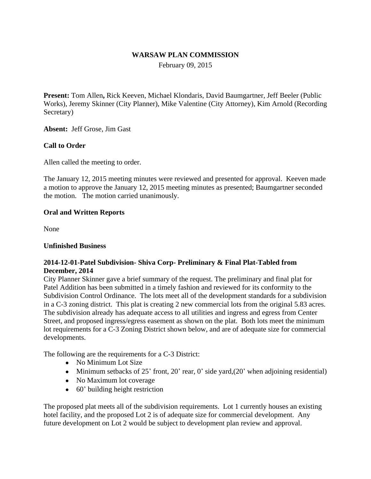### **WARSAW PLAN COMMISSION**

February 09, 2015

**Present:** Tom Allen**,** Rick Keeven, Michael Klondaris, David Baumgartner, Jeff Beeler (Public Works), Jeremy Skinner (City Planner), Mike Valentine (City Attorney), Kim Arnold (Recording Secretary)

**Absent:** Jeff Grose, Jim Gast

### **Call to Order**

Allen called the meeting to order.

The January 12, 2015 meeting minutes were reviewed and presented for approval. Keeven made a motion to approve the January 12, 2015 meeting minutes as presented; Baumgartner seconded the motion. The motion carried unanimously.

#### **Oral and Written Reports**

None

#### **Unfinished Business**

### **2014-12-01-Patel Subdivision- Shiva Corp- Preliminary & Final Plat-Tabled from December, 2014**

City Planner Skinner gave a brief summary of the request. The preliminary and final plat for Patel Addition has been submitted in a timely fashion and reviewed for its conformity to the Subdivision Control Ordinance. The lots meet all of the development standards for a subdivision in a C-3 zoning district. This plat is creating 2 new commercial lots from the original 5.83 acres. The subdivision already has adequate access to all utilities and ingress and egress from Center Street, and proposed ingress/egress easement as shown on the plat. Both lots meet the minimum lot requirements for a C-3 Zoning District shown below, and are of adequate size for commercial developments.

The following are the requirements for a C-3 District:

- No Minimum Lot Size
- $\bullet$  Minimum setbacks of 25' front, 20' rear, 0' side yard,(20' when adjoining residential)
- No Maximum lot coverage
- 60' building height restriction

The proposed plat meets all of the subdivision requirements. Lot 1 currently houses an existing hotel facility, and the proposed Lot 2 is of adequate size for commercial development. Any future development on Lot 2 would be subject to development plan review and approval.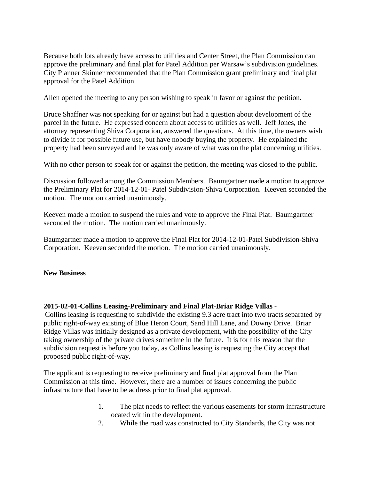Because both lots already have access to utilities and Center Street, the Plan Commission can approve the preliminary and final plat for Patel Addition per Warsaw's subdivision guidelines. City Planner Skinner recommended that the Plan Commission grant preliminary and final plat approval for the Patel Addition.

Allen opened the meeting to any person wishing to speak in favor or against the petition.

Bruce Shaffner was not speaking for or against but had a question about development of the parcel in the future. He expressed concern about access to utilities as well. Jeff Jones, the attorney representing Shiva Corporation, answered the questions. At this time, the owners wish to divide it for possible future use, but have nobody buying the property. He explained the property had been surveyed and he was only aware of what was on the plat concerning utilities.

With no other person to speak for or against the petition, the meeting was closed to the public.

Discussion followed among the Commission Members. Baumgartner made a motion to approve the Preliminary Plat for 2014-12-01- Patel Subdivision-Shiva Corporation. Keeven seconded the motion. The motion carried unanimously.

Keeven made a motion to suspend the rules and vote to approve the Final Plat. Baumgartner seconded the motion. The motion carried unanimously.

Baumgartner made a motion to approve the Final Plat for 2014-12-01-Patel Subdivision-Shiva Corporation. Keeven seconded the motion. The motion carried unanimously.

## **New Business**

## **2015-02-01-Collins Leasing-Preliminary and Final Plat-Briar Ridge Villas -**

Collins leasing is requesting to subdivide the existing 9.3 acre tract into two tracts separated by public right-of-way existing of Blue Heron Court, Sand Hill Lane, and Downy Drive. Briar Ridge Villas was initially designed as a private development, with the possibility of the City taking ownership of the private drives sometime in the future. It is for this reason that the subdivision request is before you today, as Collins leasing is requesting the City accept that proposed public right-of-way.

The applicant is requesting to receive preliminary and final plat approval from the Plan Commission at this time. However, there are a number of issues concerning the public infrastructure that have to be address prior to final plat approval.

- 1. The plat needs to reflect the various easements for storm infrastructure located within the development.
- 2. While the road was constructed to City Standards, the City was not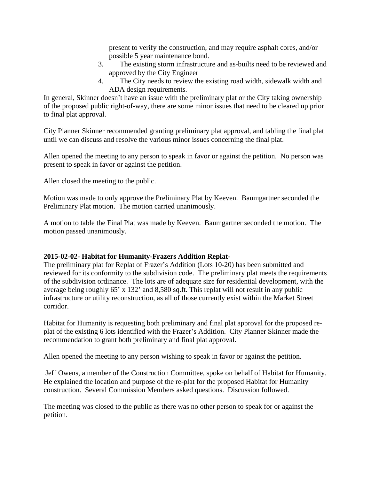present to verify the construction, and may require asphalt cores, and/or possible 5 year maintenance bond.

- 3. The existing storm infrastructure and as-builts need to be reviewed and approved by the City Engineer
- 4. The City needs to review the existing road width, sidewalk width and ADA design requirements.

In general, Skinner doesn't have an issue with the preliminary plat or the City taking ownership of the proposed public right-of-way, there are some minor issues that need to be cleared up prior to final plat approval.

City Planner Skinner recommended granting preliminary plat approval, and tabling the final plat until we can discuss and resolve the various minor issues concerning the final plat.

Allen opened the meeting to any person to speak in favor or against the petition. No person was present to speak in favor or against the petition.

Allen closed the meeting to the public.

Motion was made to only approve the Preliminary Plat by Keeven. Baumgartner seconded the Preliminary Plat motion. The motion carried unanimously.

A motion to table the Final Plat was made by Keeven. Baumgartner seconded the motion. The motion passed unanimously.

## **2015-02-02- Habitat for Humanity-Frazers Addition Replat-**

The preliminary plat for Replat of Frazer's Addition (Lots 10-20) has been submitted and reviewed for its conformity to the subdivision code. The preliminary plat meets the requirements of the subdivision ordinance. The lots are of adequate size for residential development, with the average being roughly 65' x 132' and 8,580 sq.ft. This replat will not result in any public infrastructure or utility reconstruction, as all of those currently exist within the Market Street corridor.

Habitat for Humanity is requesting both preliminary and final plat approval for the proposed replat of the existing 6 lots identified with the Frazer's Addition. City Planner Skinner made the recommendation to grant both preliminary and final plat approval.

Allen opened the meeting to any person wishing to speak in favor or against the petition.

 Jeff Owens, a member of the Construction Committee, spoke on behalf of Habitat for Humanity. He explained the location and purpose of the re-plat for the proposed Habitat for Humanity construction. Several Commission Members asked questions. Discussion followed.

The meeting was closed to the public as there was no other person to speak for or against the petition.